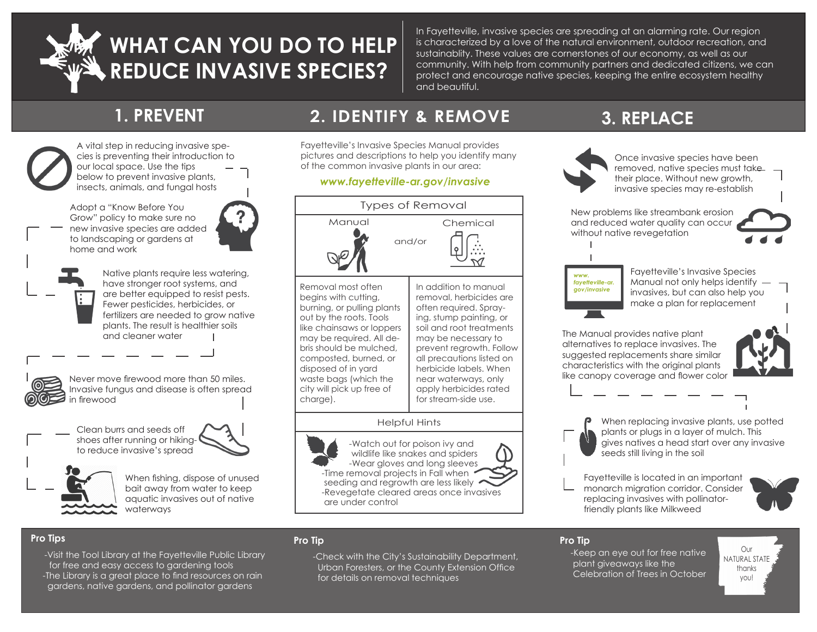

## **WHAT CAN YOU DO TO HELP REDUCE INVASIVE SPECIES?**

In Fayetteville, invasive species are spreading at an alarming rate. Our region is characterized by a love of the natural environment, outdoor recreation, and sustainablity. These values are cornerstones of our economy, as well as our community. With help from community partners and dedicated citizens, we can protect and encourage native species, keeping the entire ecosystem healthy and beautiful.



A vital step in reducing invasive species is preventing their introduction to our local space. Use the tips below to prevent invasive plants, insects, animals, and fungal hosts

Adopt a "Know Before You Grow" policy to make sure no new invasive species are added to landscaping or gardens at home and work



Native plants require less watering, have stronger root systems, and are better equipped to resist pests. Fewer pesticides, herbicides, or fertilizers are needed to grow native plants. The result is healthier soils and cleaner water



 Never move firewood more than 50 miles. Invasive fungus and disease is often spread in firewood







When fishing, dispose of unused bait away from water to keep aquatic invasives out of native waterways

## **1. PREVENT 2. IDENTIFY & REMOVE 3. REPLACE**

Fayetteville's Invasive Species Manual provides pictures and descriptions to help you identify many of the common invasive plants in our area:

#### *www.fayetteville-ar.gov/invasive*



 wildlife like snakes and spiders -Wear gloves and long sleeves -Time removal projects in Fall when seeding and regrowth are less likely -Revegetate cleared areas once invasives are under control



Once invasive species have been removed, native species must take their place. Without new growth, invasive species may re-establish

New problems like streambank erosion and reduced water quality can occur without native revegetation



Fayetteville's Invasive Species Manual not only helps identify invasives, but can also help you make a plan for replacement

The Manual provides native plant alternatives to replace invasives. The suggested replacements share similar characteristics with the original plants like canopy coverage and flower color



When replacing invasive plants, use potted plants or plugs in a layer of mulch. This gives natives a head start over any invasive seeds still living in the soil

Fayetteville is located in an important monarch migration corridor. Consider replacing invasives with pollinatorfriendly plants like Milkweed



#### **Pro Tips**

 -Visit the Tool Library at the Fayetteville Public Library for free and easy access to gardening tools The Library is a great place to find resources on rain the contraction of the column control techniques on the Celebration of Trees in October gardens, native gardens, and pollinator gardens

#### **Pro Tip**

 -Check with the City's Sustainability Department, Urban Foresters, or the County Extension Office for details on removal techniques

#### **Pro Tip**

 -Keep an eye out for free native plant giveaways like the